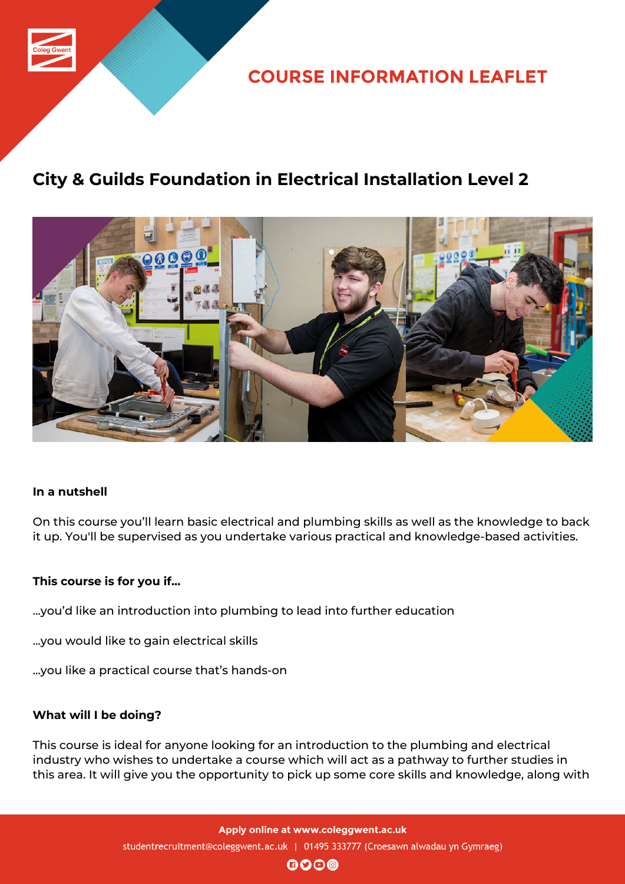

**COURSE INFORMATION LEAFLET** 

### **City & Guilds Foundation in Electrical Installation Level 2**



### **In a nutshell**

On this course you'll learn basic electrical and plumbing skills as well as the knowledge to back it up. You'll be supervised as you undertake various practical and knowledge-based activities.

#### **This course is for you if...**

- ...you'd like an introduction into plumbing to lead into further education
- ...you would like to gain electrical skills
- ...you like a practical course that's hands-on

#### **What will I be doing?**

This course is ideal for anyone looking for an introduction to the plumbing and electrical industry who wishes to undertake a course which will act as a pathway to further studies in this area. It will give you the opportunity to pick up some core skills and knowledge, along with

> Apply online at www.coleggwent.ac.uk studentrecruitment@coleggwent.ac.uk | 01495 333777 (Croesawn alwadau yn Gymraeg)

> > $\mathbf{0}$  $\mathbf{0}$  $\mathbf{0}$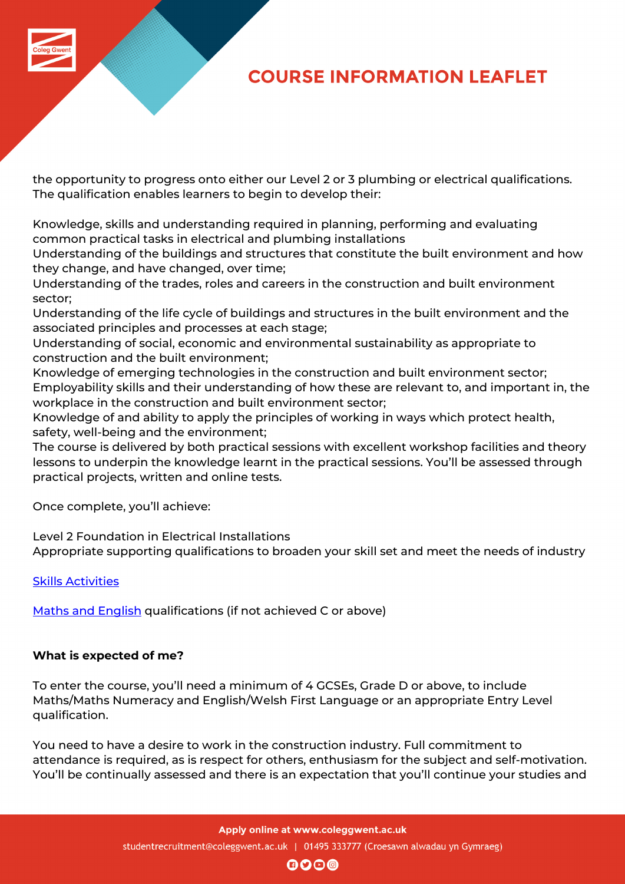# **COURSE INFORMATION LEAFLET**

the opportunity to progress onto either our Level 2 or 3 plumbing or electrical qualifications. The qualification enables learners to begin to develop their:

Knowledge, skills and understanding required in planning, performing and evaluating common practical tasks in electrical and plumbing installations

Understanding of the buildings and structures that constitute the built environment and how they change, and have changed, over time;

Understanding of the trades, roles and careers in the construction and built environment sector;

Understanding of the life cycle of buildings and structures in the built environment and the associated principles and processes at each stage;

Understanding of social, economic and environmental sustainability as appropriate to construction and the built environment;

Knowledge of emerging technologies in the construction and built environment sector; Employability skills and their understanding of how these are relevant to, and important in, the workplace in the construction and built environment sector;

Knowledge of and ability to apply the principles of working in ways which protect health, safety, well-being and the environment;

The course is delivered by both practical sessions with excellent workshop facilities and theory lessons to underpin the knowledge learnt in the practical sessions. You'll be assessed through practical projects, written and online tests.

Once complete, you'll achieve:

Level 2 Foundation in Electrical Installations

Appropriate supporting qualifications to broaden your skill set and meet the needs of industry

Skills Activities

Maths and English qualifications (if not achieved C or above)

### **[What is expected](http://www.coleggwent.ac.uk/index.php?option=com_content&view=article&id=2314) of me?**

To enter the course, you'll need a minimum of 4 GCSEs, Grade D or above, to include Maths/Maths Numeracy and English/Welsh First Language or an appropriate Entry Level qualification.

You need to have a desire to work in the construction industry. Full commitment to attendance is required, as is respect for others, enthusiasm for the subject and self-motivation. You'll be continually assessed and there is an expectation that you'll continue your studies and

Apply online at www.coleggwent.ac.uk

studentrecruitment@coleggwent.ac.uk | 01495 333777 (Croesawn alwadau yn Gymraeg)

 $\mathbf{0}$  $\mathbf{0}$  $\mathbf{0}$